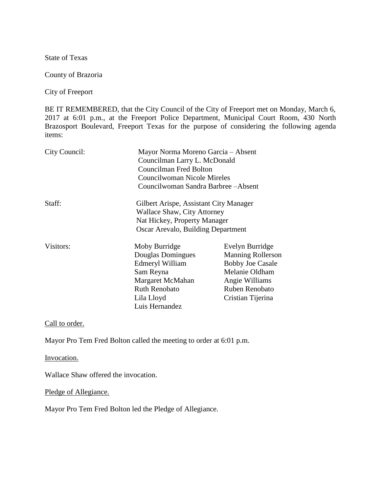State of Texas

County of Brazoria

City of Freeport

BE IT REMEMBERED, that the City Council of the City of Freeport met on Monday, March 6, 2017 at 6:01 p.m., at the Freeport Police Department, Municipal Court Room, 430 North Brazosport Boulevard, Freeport Texas for the purpose of considering the following agenda items:

| City Council: | Mayor Norma Moreno Garcia - Absent<br>Councilman Larry L. McDonald<br>Councilman Fred Bolton<br>Councilwoman Nicole Mireles<br>Councilwoman Sandra Barbree - Absent |                                                                                                                                                          |
|---------------|---------------------------------------------------------------------------------------------------------------------------------------------------------------------|----------------------------------------------------------------------------------------------------------------------------------------------------------|
| Staff:        | Gilbert Arispe, Assistant City Manager<br><b>Wallace Shaw, City Attorney</b><br>Nat Hickey, Property Manager<br>Oscar Arevalo, Building Department                  |                                                                                                                                                          |
| Visitors:     | Moby Burridge<br>Douglas Domingues<br>Edmeryl William<br>Sam Reyna<br>Margaret McMahan<br><b>Ruth Renobato</b><br>Lila Lloyd<br>Luis Hernandez                      | Evelyn Burridge<br><b>Manning Rollerson</b><br><b>Bobby Joe Casale</b><br>Melanie Oldham<br>Angie Williams<br><b>Ruben Renobato</b><br>Cristian Tijerina |

Call to order.

Mayor Pro Tem Fred Bolton called the meeting to order at 6:01 p.m.

Invocation.

Wallace Shaw offered the invocation.

Pledge of Allegiance.

Mayor Pro Tem Fred Bolton led the Pledge of Allegiance.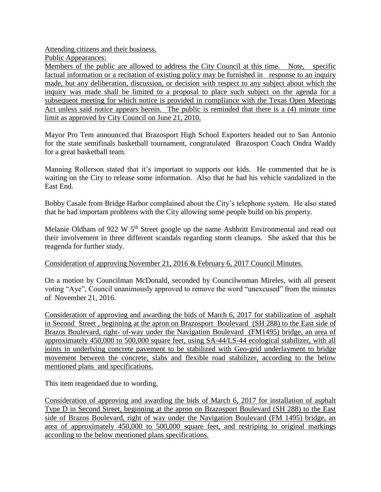Attending citizens and their business.

Public Appearances:

Members of the public are allowed to address the City Council at this time. Note, specific factual information or a recitation of existing policy may be furnished in response to an inquiry made, but any deliberation, discussion, or decision with respect to any subject about which the inquiry was made shall be limited to a proposal to place such subject on the agenda for a subsequent meeting for which notice is provided in compliance with the Texas Open Meetings Act unless said notice appears herein. The public is reminded that there is a (4) minute time limit as approved by City Council on June 21, 2010.

Mayor Pro Tem announced that Brazosport High School Exporters headed out to San Antonio for the state semifinals basketball tournament, congratulated Brazosport Coach Ondra Waddy for a great basketball team.

Manning Rollerson stated that it's important to supports our kids. He commented that he is waiting on the City to release some information. Also that he had his vehicle vandalized in the East End.

Bobby Casale from Bridge Harbor complained about the City's telephone system. He also stated that he had important problems with the City allowing some people build on his property.

Melanie Oldham of 922 W 5<sup>th</sup> Street google up the name Ashbritt Environmental and read out their involvement in three different scandals regarding storm cleanups. She asked that this be reagenda for further study.

## Consideration of approving November 21, 2016 & February 6, 2017 Council Minutes.

On a motion by Councilman McDonald, seconded by Councilwoman Mireles, with all present voting "Aye", Council unanimously approved to remove the word "unexcused" from the minutes of November 21, 2016.

Consideration of approving and awarding the bids of March 6, 2017 for stabilization of asphalt in Second Street , beginning at the apron on Brazosport Boulevard (SH 288) to the East side of Brazos Boulevard, right- of-way under the Navigation Boulevard (FM1495) bridge, an area of approximately 450,000 to 500,000 square feet, using SA-44/LS-44 ecological stabilizer, with all joints in underlying concrete pavement to be stabilized with Geo-grid underlayment to bridge movement between the concrete, slabs and flexible road stabilizer, according to the below mentioned plans and specifications.

This item reagendaed due to wording.

Consideration of approving and awarding the bids of March 6, 2017 for installation of asphalt Type D in Second Street, beginning at the apron on Brazosport Boulevard (SH 288) to the East side of Brazos Boulevard, right of way under the Navigation Boulevard (FM 1495) bridge, an area of approximately 450,000 to 500,000 square feet, and restriping to original markings according to the below mentioned plans specifications.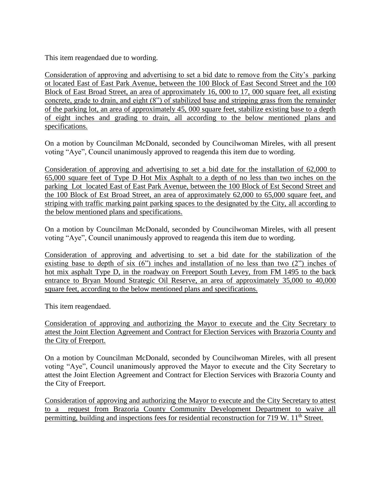This item reagendaed due to wording.

Consideration of approving and advertising to set a bid date to remove from the City's parking ot located East of East Park Avenue, between the 100 Block of East Second Street and the 100 Block of East Broad Street, an area of approximately 16, 000 to 17, 000 square feet, all existing concrete, grade to drain, and eight (8") of stabilized base and stripping grass from the remainder of the parking lot, an area of approximately 45, 000 square feet, stabilize existing base to a depth of eight inches and grading to drain, all according to the below mentioned plans and specifications.

On a motion by Councilman McDonald, seconded by Councilwoman Mireles, with all present voting "Aye", Council unanimously approved to reagenda this item due to wording.

Consideration of approving and advertising to set a bid date for the installation of 62,000 to 65,000 square feet of Type D Hot Mix Asphalt to a depth of no less than two inches on the parking Lot located East of East Park Avenue, between the 100 Block of Est Second Street and the 100 Block of Est Broad Street, an area of approximately 62,000 to 65,000 square feet, and striping with traffic marking paint parking spaces to the designated by the City, all according to the below mentioned plans and specifications.

On a motion by Councilman McDonald, seconded by Councilwoman Mireles, with all present voting "Aye", Council unanimously approved to reagenda this item due to wording.

Consideration of approving and advertising to set a bid date for the stabilization of the existing base to depth of six (6") inches and installation of no less than two (2") inches of hot mix asphalt Type D, in the roadway on Freeport South Levey, from FM 1495 to the back entrance to Bryan Mound Strategic Oil Reserve, an area of approximately 35,000 to 40,000 square feet, according to the below mentioned plans and specifications.

This item reagendaed.

Consideration of approving and authorizing the Mayor to execute and the City Secretary to attest the Joint Election Agreement and Contract for Election Services with Brazoria County and the City of Freeport.

On a motion by Councilman McDonald, seconded by Councilwoman Mireles, with all present voting "Aye", Council unanimously approved the Mayor to execute and the City Secretary to attest the Joint Election Agreement and Contract for Election Services with Brazoria County and the City of Freeport.

Consideration of approving and authorizing the Mayor to execute and the City Secretary to attest to a request from Brazoria County Community Development Department to waive all permitting, building and inspections fees for residential reconstruction for 719 W. 11<sup>th</sup> Street.